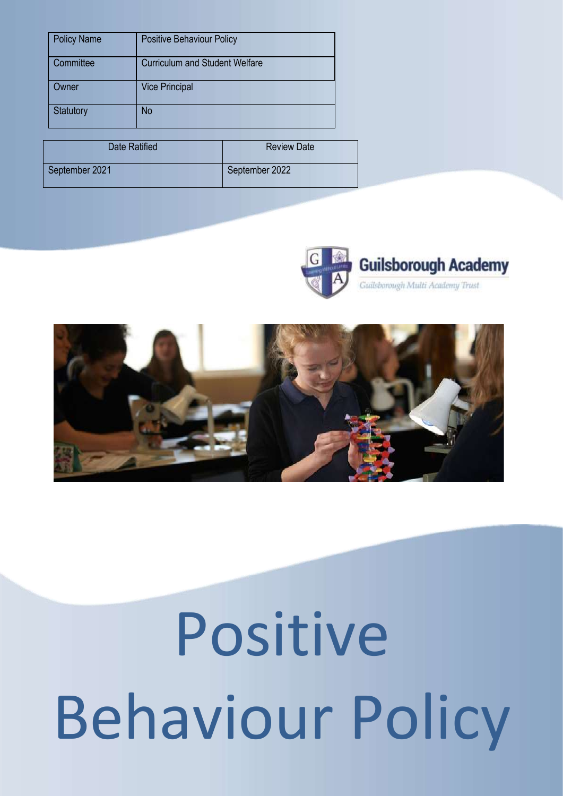| <b>Policy Name</b> | <b>Positive Behaviour Policy</b>      |
|--------------------|---------------------------------------|
| Committee          | <b>Curriculum and Student Welfare</b> |
| )wner              | <b>Vice Principal</b>                 |
| <b>Statutory</b>   | No                                    |

| Date Ratified  | <b>Review Date</b> |  |
|----------------|--------------------|--|
| September 2021 | September 2022     |  |





# Positive Behaviour Policy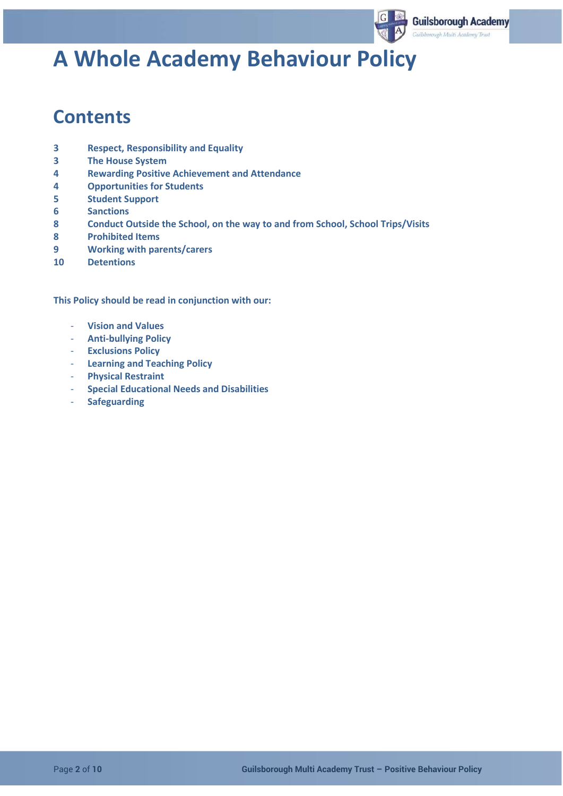

# **A Whole Academy Behaviour Policy**

## **Contents**

- **3 Respect, Responsibility and Equality**
- **3 The House System**
- **4 Rewarding Positive Achievement and Attendance**
- **4 Opportunities for Students**
- **5 Student Support**
- **6 Sanctions**
- **8 Conduct Outside the School, on the way to and from School, School Trips/Visits**
- **8 Prohibited Items**
- **9 Working with parents/carers**
- **10 Detentions**

**This Policy should be read in conjunction with our:**

- **Vision and Values**
- **Anti-bullying Policy**
- **Exclusions Policy**
- **Learning and Teaching Policy**
- **Physical Restraint**
- **Special Educational Needs and Disabilities**
- **Safeguarding**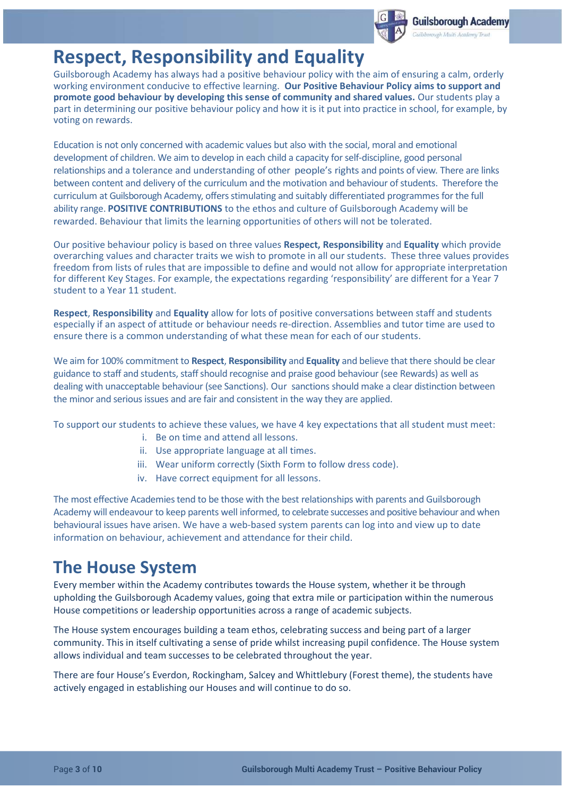

## **Respect, Responsibility and Equality**

Guilsborough Academy has always had a positive behaviour policy with the aim of ensuring a calm, orderly working environment conducive to effective learning. **Our Positive Behaviour Policy aims to support and promote good behaviour by developing this sense of community and shared values.** Our students play a part in determining our positive behaviour policy and how it is it put into practice in school, for example, by voting on rewards.

Education is not only concerned with academic values but also with the social, moral and emotional development of children. We aim to develop in each child a capacity forself-discipline, good personal relationships and a tolerance and understanding of other people's rights and points of view. There are links between content and delivery of the curriculum and the motivation and behaviour of students. Therefore the curriculum at Guilsborough Academy, offersstimulating and suitably differentiated programmes for the full ability range. **POSITIVE CONTRIBUTIONS** to the ethos and culture of Guilsborough Academy will be rewarded. Behaviour that limits the learning opportunities of others will not be tolerated.

Our positive behaviour policy is based on three values **Respect, Responsibility** and **Equality** which provide overarching values and character traits we wish to promote in all our students. These three values provides freedom from lists of rules that are impossible to define and would not allow for appropriate interpretation for different Key Stages. For example, the expectations regarding 'responsibility' are different for a Year 7 student to a Year 11 student.

**Respect**, **Responsibility** and **Equality** allow for lots of positive conversations between staff and students especially if an aspect of attitude or behaviour needs re-direction. Assemblies and tutor time are used to ensure there is a common understanding of what these mean for each of our students.

We aim for 100% commitment to **Respect**, **Responsibility** and **Equality** and believe that there should be clear guidance to staff and students, staffshould recognise and praise good behaviour (see Rewards) as well as dealing with unacceptable behaviour (see Sanctions). Our sanctions should make a clear distinction between the minor and serious issues and are fair and consistent in the way they are applied.

To support our students to achieve these values, we have 4 key expectations that all student must meet:

- i. Be on time and attend all lessons.
- ii. Use appropriate language at all times.
- iii. Wear uniform correctly (Sixth Form to follow dress code).
- iv. Have correct equipment for all lessons.

The most effective Academies tend to be those with the best relationships with parents and Guilsborough Academy will endeavour to keep parents well informed, to celebrate successes and positive behaviour and when behavioural issues have arisen. We have a web-based system parents can log into and view up to date information on behaviour, achievement and attendance for their child.

## **The House System**

Every member within the Academy contributes towards the House system, whether it be through upholding the Guilsborough Academy values, going that extra mile or participation within the numerous House competitions or leadership opportunities across a range of academic subjects.

The House system encourages building a team ethos, celebrating success and being part of a larger community. This in itself cultivating a sense of pride whilst increasing pupil confidence. The House system allows individual and team successes to be celebrated throughout the year.

There are four House's Everdon, Rockingham, Salcey and Whittlebury (Forest theme), the students have actively engaged in establishing our Houses and will continue to do so.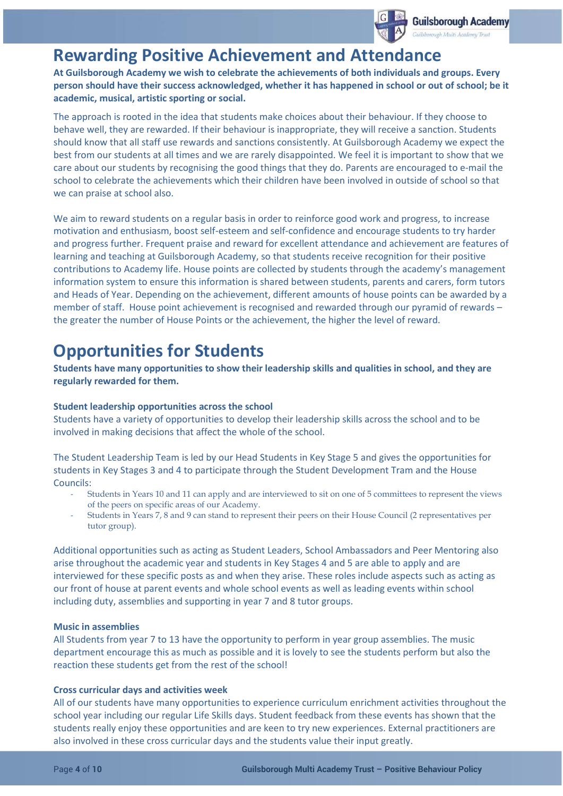

## **Rewarding Positive Achievement and Attendan**

**At Guilsborough Academy we wish to celebrate the achievements of both individuals and groups. Every person should have their success acknowledged, whether it has happened in school or out of school; be it academic, musical, artistic sporting or social.** 

The approach is rooted in the idea that students make choices about their behaviour. If they choose to behave well, they are rewarded. If their behaviour is inappropriate, they will receive a sanction. Students should know that all staff use rewards and sanctions consistently. At Guilsborough Academy we expect the best from our students at all times and we are rarely disappointed. We feel it is important to show that we care about our students by recognising the good things that they do. Parents are encouraged to e-mail the school to celebrate the achievements which their children have been involved in outside of school so that we can praise at school also.

We aim to reward students on a regular basis in order to reinforce good work and progress, to increase motivation and enthusiasm, boost self-esteem and self-confidence and encourage students to try harder and progress further. Frequent praise and reward for excellent attendance and achievement are features of learning and teaching at Guilsborough Academy, so that students receive recognition for their positive contributions to Academy life. House points are collected by students through the academy's management information system to ensure this information is shared between students, parents and carers, form tutors and Heads of Year. Depending on the achievement, different amounts of house points can be awarded by a member of staff. House point achievement is recognised and rewarded through our pyramid of rewards – the greater the number of House Points or the achievement, the higher the level of reward.

## **Opportunities for Students**

**Students have many opportunities to show their leadership skills and qualities in school, and they are regularly rewarded for them.** 

## **Student leadership opportunities across the school**

Students have a variety of opportunities to develop their leadership skills across the school and to be involved in making decisions that affect the whole of the school.

The Student Leadership Team is led by our Head Students in Key Stage 5 and gives the opportunities for students in Key Stages 3 and 4 to participate through the Student Development Tram and the House Councils:

- Students in Years 10 and 11 can apply and are interviewed to sit on one of 5 committees to represent the views of the peers on specific areas of our Academy.
- Students in Years 7, 8 and 9 can stand to represent their peers on their House Council (2 representatives per tutor group).

Additional opportunities such as acting as Student Leaders, School Ambassadors and Peer Mentoring also arise throughout the academic year and students in Key Stages 4 and 5 are able to apply and are interviewed for these specific posts as and when they arise. These roles include aspects such as acting as our front of house at parent events and whole school events as well as leading events within school including duty, assemblies and supporting in year 7 and 8 tutor groups.

## **Music in assemblies**

All Students from year 7 to 13 have the opportunity to perform in year group assemblies. The music department encourage this as much as possible and it is lovely to see the students perform but also the reaction these students get from the rest of the school!

### **Cross curricular days and activities week**

All of our students have many opportunities to experience curriculum enrichment activities throughout the school year including our regular Life Skills days. Student feedback from these events has shown that the students really enjoy these opportunities and are keen to try new experiences. External practitioners are also involved in these cross curricular days and the students value their input greatly.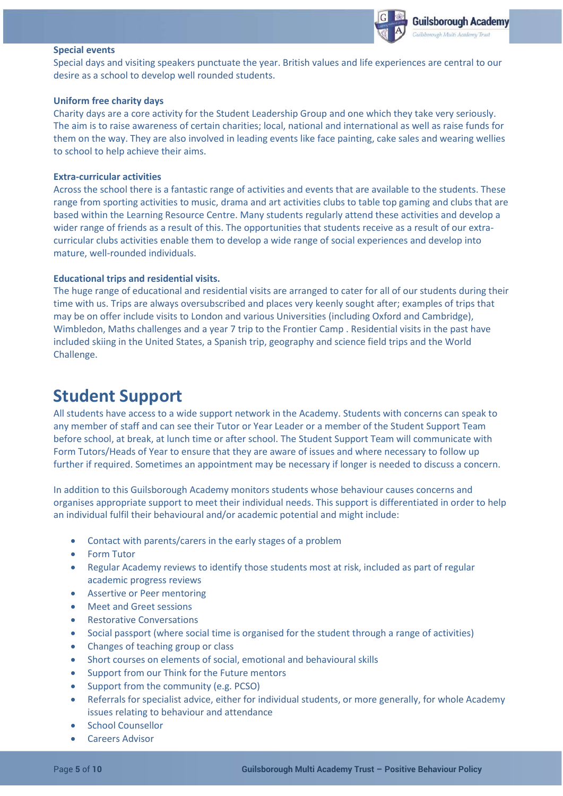

#### **Special events**

Special days and visiting speakers punctuate the year. British values and life experiences are central to our desire as a school to develop well rounded students.

#### **Uniform free charity days**

Charity days are a core activity for the Student Leadership Group and one which they take very seriously. The aim is to raise awareness of certain charities; local, national and international as well as raise funds for them on the way. They are also involved in leading events like face painting, cake sales and wearing wellies to school to help achieve their aims.

#### **Extra-curricular activities**

Across the school there is a fantastic range of activities and events that are available to the students. These range from sporting activities to music, drama and art activities clubs to table top gaming and clubs that are based within the Learning Resource Centre. Many students regularly attend these activities and develop a wider range of friends as a result of this. The opportunities that students receive as a result of our extracurricular clubs activities enable them to develop a wide range of social experiences and develop into mature, well-rounded individuals.

### **Educational trips and residential visits.**

The huge range of educational and residential visits are arranged to cater for all of our students during their time with us. Trips are always oversubscribed and places very keenly sought after; examples of trips that may be on offer include visits to London and various Universities (including Oxford and Cambridge), Wimbledon, Maths challenges and a year 7 trip to the Frontier Camp . Residential visits in the past have included skiing in the United States, a Spanish trip, geography and science field trips and the World Challenge.

## **Student Support**

All students have access to a wide support network in the Academy. Students with concerns can speak to any member of staff and can see their Tutor or Year Leader or a member of the Student Support Team before school, at break, at lunch time or after school. The Student Support Team will communicate with Form Tutors/Heads of Year to ensure that they are aware of issues and where necessary to follow up further if required. Sometimes an appointment may be necessary if longer is needed to discuss a concern.

In addition to this Guilsborough Academy monitors students whose behaviour causes concerns and organises appropriate support to meet their individual needs. This support is differentiated in order to help an individual fulfil their behavioural and/or academic potential and might include:

- Contact with parents/carers in the early stages of a problem
- Form Tutor
- Regular Academy reviews to identify those students most at risk, included as part of regular academic progress reviews
- Assertive or Peer mentoring
- Meet and Greet sessions
- Restorative Conversations
- Social passport (where social time is organised for the student through a range of activities)
- Changes of teaching group or class
- Short courses on elements of social, emotional and behavioural skills
- Support from our Think for the Future mentors
- Support from the community (e.g. PCSO)
- Referrals for specialist advice, either for individual students, or more generally, for whole Academy issues relating to behaviour and attendance
- School Counsellor
- Careers Advisor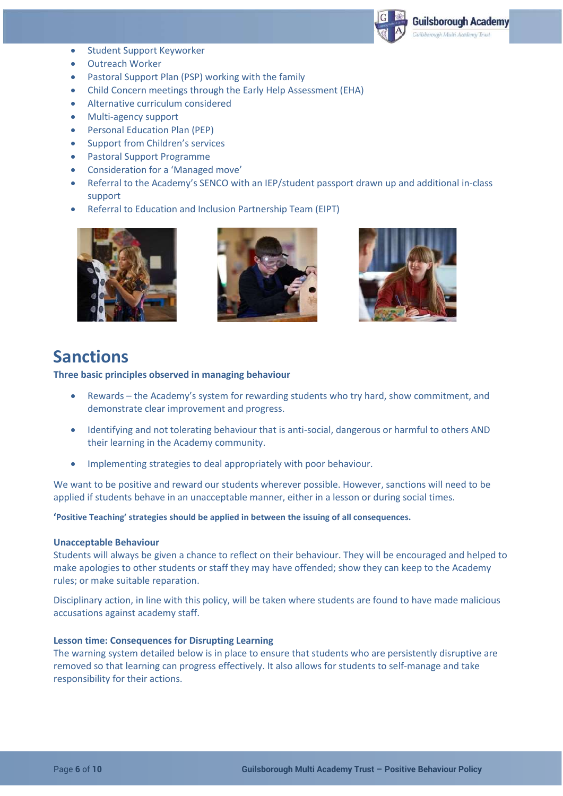

- Student Support Keyworker
- Outreach Worker
- Pastoral Support Plan (PSP) working with the family
- Child Concern meetings through the Early Help Assessment (EHA)
- Alternative curriculum considered
- Multi-agency support
- Personal Education Plan (PEP)
- Support from Children's services
- Pastoral Support Programme
- Consideration for a 'Managed move'
- Referral to the Academy's SENCO with an IEP/student passport drawn up and additional in-class support
- Referral to Education and Inclusion Partnership Team (EIPT)







## **Sanctions**

**Three basic principles observed in managing behaviour**

- Rewards the Academy's system for rewarding students who try hard, show commitment, and demonstrate clear improvement and progress.
- Identifying and not tolerating behaviour that is anti-social, dangerous or harmful to others AND their learning in the Academy community.
- Implementing strategies to deal appropriately with poor behaviour.

We want to be positive and reward our students wherever possible. However, sanctions will need to be applied if students behave in an unacceptable manner, either in a lesson or during social times.

**'Positive Teaching' strategies should be applied in between the issuing of all consequences.**

## **Unacceptable Behaviour**

Students will always be given a chance to reflect on their behaviour. They will be encouraged and helped to make apologies to other students or staff they may have offended; show they can keep to the Academy rules; or make suitable reparation.

Disciplinary action, in line with this policy, will be taken where students are found to have made malicious accusations against academy staff.

### **Lesson time: Consequences for Disrupting Learning**

The warning system detailed below is in place to ensure that students who are persistently disruptive are removed so that learning can progress effectively. It also allows for students to self-manage and take responsibility for their actions.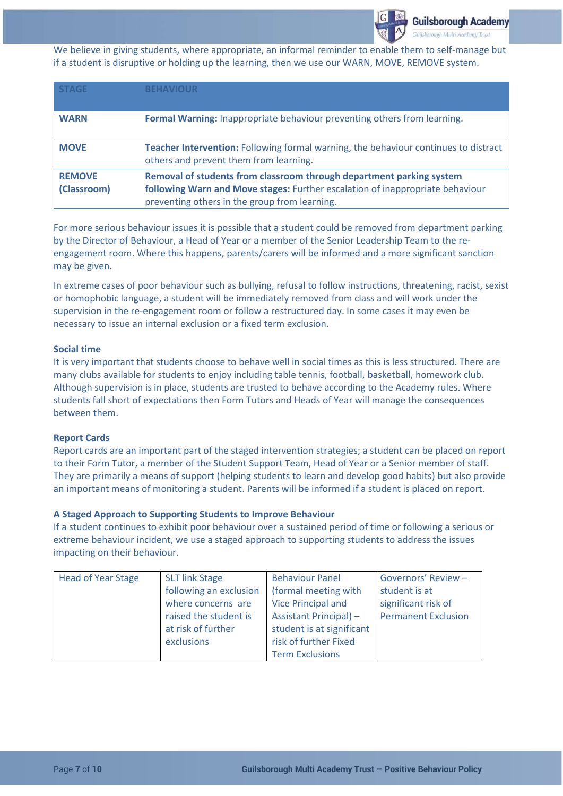

We believe in giving students, where appropriate, an informal reminder to enable them to self-manage but if a student is disruptive or holding up the learning, then we use our WARN, MOVE, REMOVE system.

| <b>STAGE</b>                 | <b>BEHAVIOUR</b>                                                                                                                                                                                       |
|------------------------------|--------------------------------------------------------------------------------------------------------------------------------------------------------------------------------------------------------|
| <b>WARN</b>                  | Formal Warning: Inappropriate behaviour preventing others from learning.                                                                                                                               |
| <b>MOVE</b>                  | <b>Teacher Intervention:</b> Following formal warning, the behaviour continues to distract<br>others and prevent them from learning.                                                                   |
| <b>REMOVE</b><br>(Classroom) | Removal of students from classroom through department parking system<br>following Warn and Move stages: Further escalation of inappropriate behaviour<br>preventing others in the group from learning. |

For more serious behaviour issues it is possible that a student could be removed from department parking by the Director of Behaviour, a Head of Year or a member of the Senior Leadership Team to the reengagement room. Where this happens, parents/carers will be informed and a more significant sanction may be given.

In extreme cases of poor behaviour such as bullying, refusal to follow instructions, threatening, racist, sexist or homophobic language, a student will be immediately removed from class and will work under the supervision in the re-engagement room or follow a restructured day. In some cases it may even be necessary to issue an internal exclusion or a fixed term exclusion.

#### **Social time**

It is very important that students choose to behave well in social times as this is less structured. There are many clubs available for students to enjoy including table tennis, football, basketball, homework club. Although supervision is in place, students are trusted to behave according to the Academy rules. Where students fall short of expectations then Form Tutors and Heads of Year will manage the consequences between them.

#### **Report Cards**

Report cards are an important part of the staged intervention strategies; a student can be placed on report to their Form Tutor, a member of the Student Support Team, Head of Year or a Senior member of staff. They are primarily a means of support (helping students to learn and develop good habits) but also provide an important means of monitoring a student. Parents will be informed if a student is placed on report.

### **A Staged Approach to Supporting Students to Improve Behaviour**

If a student continues to exhibit poor behaviour over a sustained period of time or following a serious or extreme behaviour incident, we use a staged approach to supporting students to address the issues impacting on their behaviour.

| <b>Head of Year Stage</b> | <b>SLT link Stage</b>  | <b>Behaviour Panel</b>        | Governors' Review -        |
|---------------------------|------------------------|-------------------------------|----------------------------|
|                           | following an exclusion | (formal meeting with          | student is at              |
|                           | where concerns are     | Vice Principal and            | significant risk of        |
|                           | raised the student is  | <b>Assistant Principal) -</b> | <b>Permanent Exclusion</b> |
|                           | at risk of further     | student is at significant     |                            |
|                           | exclusions             | risk of further Fixed         |                            |
|                           |                        | <b>Term Exclusions</b>        |                            |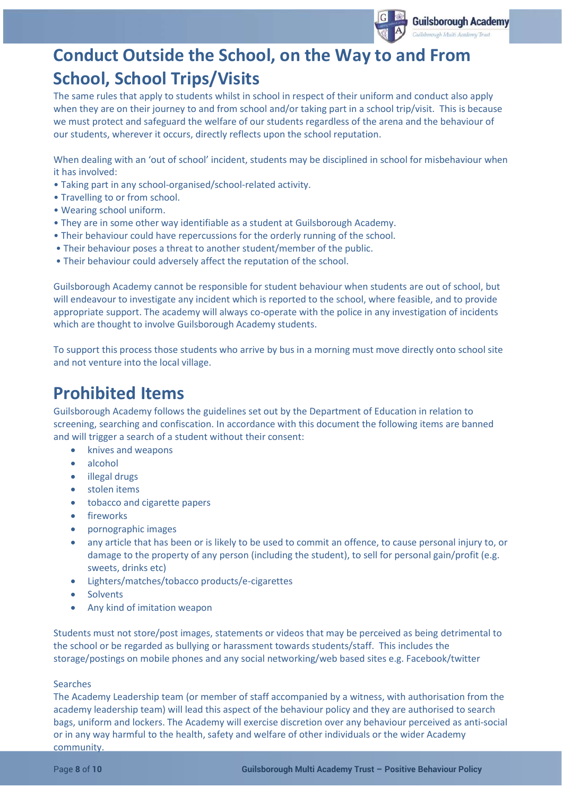

# **Conduct Outside the School, on the Way to and From School, School Trips/Visits**

The same rules that apply to students whilst in school in respect of their uniform and conduct also apply when they are on their journey to and from school and/or taking part in a school trip/visit. This is because we must protect and safeguard the welfare of our students regardless of the arena and the behaviour of our students, wherever it occurs, directly reflects upon the school reputation.

When dealing with an 'out of school' incident, students may be disciplined in school for misbehaviour when it has involved:

- Taking part in any school-organised/school-related activity.
- Travelling to or from school.
- Wearing school uniform.
- They are in some other way identifiable as a student at Guilsborough Academy.
- Their behaviour could have repercussions for the orderly running of the school.
- Their behaviour poses a threat to another student/member of the public.
- Their behaviour could adversely affect the reputation of the school.

Guilsborough Academy cannot be responsible for student behaviour when students are out of school, but will endeavour to investigate any incident which is reported to the school, where feasible, and to provide appropriate support. The academy will always co-operate with the police in any investigation of incidents which are thought to involve Guilsborough Academy students.

To support this process those students who arrive by bus in a morning must move directly onto school site and not venture into the local village.

## **Prohibited Items**

Guilsborough Academy follows the guidelines set out by the Department of Education in relation to screening, searching and confiscation. In accordance with this document the following items are banned and will trigger a search of a student without their consent:

- knives and weapons
- alcohol
- illegal drugs
- stolen items
- tobacco and cigarette papers
- fireworks
- pornographic images
- any article that has been or is likely to be used to commit an offence, to cause personal injury to, or damage to the property of any person (including the student), to sell for personal gain/profit (e.g. sweets, drinks etc)
- Lighters/matches/tobacco products/e-cigarettes
- **Solvents**
- Any kind of imitation weapon

Students must not store/post images, statements or videos that may be perceived as being detrimental to the school or be regarded as bullying or harassment towards students/staff. This includes the storage/postings on mobile phones and any social networking/web based sites e.g. Facebook/twitter

#### Searches

The Academy Leadership team (or member of staff accompanied by a witness, with authorisation from the academy leadership team) will lead this aspect of the behaviour policy and they are authorised to search bags, uniform and lockers. The Academy will exercise discretion over any behaviour perceived as anti-social or in any way harmful to the health, safety and welfare of other individuals or the wider Academy community.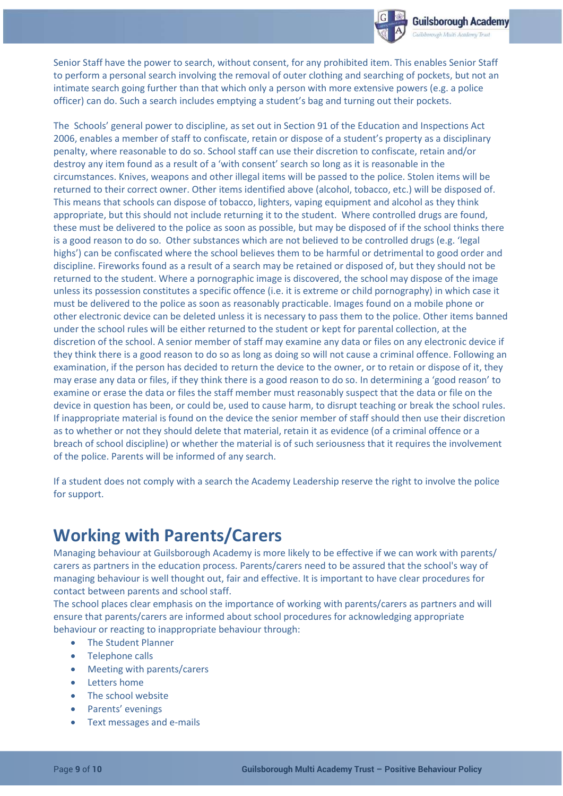

Senior Staff have the power to search, without consent, for any prohibited item. This enables Senior Staff to perform a personal search involving the removal of outer clothing and searching of pockets, but not an intimate search going further than that which only a person with more extensive powers (e.g. a police officer) can do. Such a search includes emptying a student's bag and turning out their pockets.

The Schools' general power to discipline, as set out in Section 91 of the Education and Inspections Act 2006, enables a member of staff to confiscate, retain or dispose of a student's property as a disciplinary penalty, where reasonable to do so. School staff can use their discretion to confiscate, retain and/or destroy any item found as a result of a 'with consent' search so long as it is reasonable in the circumstances. Knives, weapons and other illegal items will be passed to the police. Stolen items will be returned to their correct owner. Other items identified above (alcohol, tobacco, etc.) will be disposed of. This means that schools can dispose of tobacco, lighters, vaping equipment and alcohol as they think appropriate, but this should not include returning it to the student. Where controlled drugs are found, these must be delivered to the police as soon as possible, but may be disposed of if the school thinks there is a good reason to do so. Other substances which are not believed to be controlled drugs (e.g. 'legal highs') can be confiscated where the school believes them to be harmful or detrimental to good order and discipline. Fireworks found as a result of a search may be retained or disposed of, but they should not be returned to the student. Where a pornographic image is discovered, the school may dispose of the image unless its possession constitutes a specific offence (i.e. it is extreme or child pornography) in which case it must be delivered to the police as soon as reasonably practicable. Images found on a mobile phone or other electronic device can be deleted unless it is necessary to pass them to the police. Other items banned under the school rules will be either returned to the student or kept for parental collection, at the discretion of the school. A senior member of staff may examine any data or files on any electronic device if they think there is a good reason to do so as long as doing so will not cause a criminal offence. Following an examination, if the person has decided to return the device to the owner, or to retain or dispose of it, they may erase any data or files, if they think there is a good reason to do so. In determining a 'good reason' to examine or erase the data or files the staff member must reasonably suspect that the data or file on the device in question has been, or could be, used to cause harm, to disrupt teaching or break the school rules. If inappropriate material is found on the device the senior member of staff should then use their discretion as to whether or not they should delete that material, retain it as evidence (of a criminal offence or a breach of school discipline) or whether the material is of such seriousness that it requires the involvement of the police. Parents will be informed of any search.

If a student does not comply with a search the Academy Leadership reserve the right to involve the police for support.

## **Working with Parents/Carers**

Managing behaviour at Guilsborough Academy is more likely to be effective if we can work with parents/ carers as partners in the education process. Parents/carers need to be assured that the school's way of managing behaviour is well thought out, fair and effective. It is important to have clear procedures for contact between parents and school staff.

The school places clear emphasis on the importance of working with parents/carers as partners and will ensure that parents/carers are informed about school procedures for acknowledging appropriate behaviour or reacting to inappropriate behaviour through:

- The Student Planner
- Telephone calls
- Meeting with parents/carers
- Letters home
- The school website
- Parents' evenings
- Text messages and e-mails